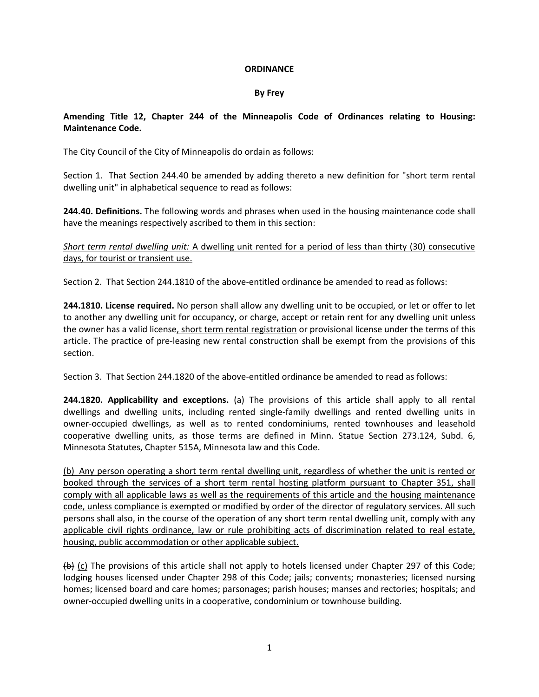## **ORDINANCE**

## **By Frey**

## **Amending Title 12, Chapter 244 of the Minneapolis Code of Ordinances relating to Housing: Maintenance Code.**

The City Council of the City of Minneapolis do ordain as follows:

Section 1. That Section 244.40 be amended by adding thereto a new definition for "short term rental dwelling unit" in alphabetical sequence to read as follows:

**244.40. Definitions.** The following words and phrases when used in the housing maintenance code shall have the meanings respectively ascribed to them in this section:

*Short term rental dwelling unit:* A dwelling unit rented for a period of less than thirty (30) consecutive days, for tourist or transient use.

Section 2. That Section 244.1810 of the above-entitled ordinance be amended to read as follows:

**244.1810. License required.** No person shall allow any dwelling unit to be occupied, or let or offer to let to another any dwelling unit for occupancy, or charge, accept or retain rent for any dwelling unit unless the owner has a valid license, short term rental registration or provisional license under the terms of this article. The practice of pre-leasing new rental construction shall be exempt from the provisions of this section.

Section 3. That Section 244.1820 of the above-entitled ordinance be amended to read as follows:

**244.1820. Applicability and exceptions.** (a) The provisions of this article shall apply to all rental dwellings and dwelling units, including rented single-family dwellings and rented dwelling units in owner-occupied dwellings, as well as to rented condominiums, rented townhouses and leasehold cooperative dwelling units, as those terms are defined in Minn. Statue Section 273.124, Subd. 6, Minnesota Statutes, Chapter 515A, Minnesota law and this Code.

(b) Any person operating a short term rental dwelling unit, regardless of whether the unit is rented or booked through the services of a short term rental hosting platform pursuant to Chapter 351, shall comply with all applicable laws as well as the requirements of this article and the housing maintenance code, unless compliance is exempted or modified by order of the director of regulatory services. All such persons shall also, in the course of the operation of any short term rental dwelling unit, comply with any applicable civil rights ordinance, law or rule prohibiting acts of discrimination related to real estate, housing, public accommodation or other applicable subject.

 $\left\{ \frac{b}{c} \right\}$  (c) The provisions of this article shall not apply to hotels licensed under Chapter 297 of this Code; lodging houses licensed under Chapter 298 of this Code; jails; convents; monasteries; licensed nursing homes; licensed board and care homes; parsonages; parish houses; manses and rectories; hospitals; and owner-occupied dwelling units in a cooperative, condominium or townhouse building.